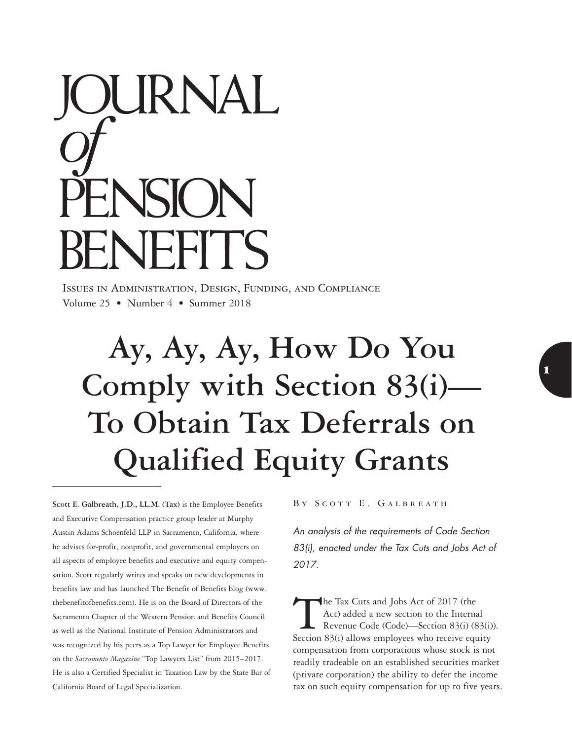# DURNAL ENSION ENEFITS

Issues in Administration, Design, Funding, and Compliance Volume 25 • Number 4 • Summer 2018

## **Ay, Ay, Ay, How Do You Comply with Section 83(i)— To Obtain Tax Deferrals on Qualified Equity Grants**

**Scott E. Galbreath, J.D., LL.M. (Tax)** is the Employee Benefits and Executive Compensation practice group leader at Murphy Austin Adams Schoenfeld LLP in Sacramento, California, where he advises for-profit, nonprofit, and governmental employers on all aspects of employee benefits and executive and equity compensation. Scott regularly writes and speaks on new developments in benefits law and has launched The Benefit of Benefits blog (www. thebenefitofbenefits.com). He is on the Board of Directors of the Sacramento Chapter of the Western Pension and Benefits Council as well as the National Institute of Pension Administrators and was recognized by his peers as a Top Lawyer for Employee Benefits on the *Sacramento Magazine* "Top Lawyers List" from 2015–2017. He is also a Certified Specialist in Taxation Law by the State Bar of California Board of Legal Specialization.

BY SCOTT E. GALBREATH

*An analysis of the requirements of Code Section 83(i), enacted under the Tax Cuts and Jobs Act of 2017.*

The Tax Cuts and Jobs Act of 2017 (the Act) added a new section to the Internal<br>Revenue Code (Code)—Section 83(i) (8<br>Section 83(i) allows employees who receive equ Act) added a new section to the Internal Revenue Code (Code)—Section 83(i) (83(i)). Section 83(i) allows employees who receive equity compensation from corporations whose stock is not readily tradeable on an established securities market (private corporation) the ability to defer the income tax on such equity compensation for up to five years.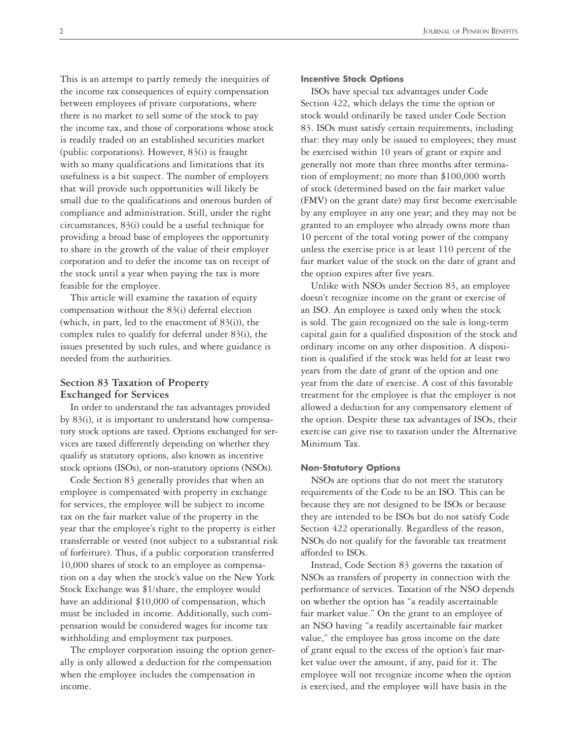This is an attempt to partly remedy the inequities of the income tax consequences of equity compensation between employees of private corporations, where there is no market to sell some of the stock to pay the income tax, and those of corporations whose stock is readily traded on an established securities market (public corporations). However, 83(i) is fraught with so many qualifications and limitations that its usefulness is a bit suspect. The number of employers that will provide such opportunities will likely be small due to the qualifications and onerous burden of compliance and administration. Still, under the right circumstances, 83(i) could be a useful technique for providing a broad base of employees the opportunity to share in the growth of the value of their employer corporation and to defer the income tax on receipt of the stock until a year when paying the tax is more feasible for the employee.

This article will examine the taxation of equity compensation without the 83(i) deferral election (which, in part, led to the enactment of 83(i)), the complex rules to qualify for deferral under 83(i), the issues presented by such rules, and where guidance is needed from the authorities.

### **Section 83 Taxation of Property Exchanged for Services**

In order to understand the tax advantages provided by 83(i), it is important to understand how compensatory stock options are taxed. Options exchanged for services are taxed differently depending on whether they qualify as statutory options, also known as incentive stock options (ISOs), or non-statutory options (NSOs).

Code Section 83 generally provides that when an employee is compensated with property in exchange for services, the employee will be subject to income tax on the fair market value of the property in the year that the employee's right to the property is either transferrable or vested (not subject to a substantial risk of forfeiture). Thus, if a public corporation transferred 10,000 shares of stock to an employee as compensation on a day when the stock's value on the New York Stock Exchange was \$1/share, the employee would have an additional \$10,000 of compensation, which must be included in income. Additionally, such compensation would be considered wages for income tax withholding and employment tax purposes.

The employer corporation issuing the option generally is only allowed a deduction for the compensation when the employee includes the compensation in income.

ISOs have special tax advantages under Code Section 422, which delays the time the option or stock would ordinarily be taxed under Code Section 83. ISOs must satisfy certain requirements, including that: they may only be issued to employees; they must be exercised within 10 years of grant or expire and generally not more than three months after termination of employment; no more than \$100,000 worth of stock (determined based on the fair market value (FMV) on the grant date) may first become exercisable by any employee in any one year; and they may not be granted to an employee who already owns more than 10 percent of the total voting power of the company unless the exercise price is at least 110 percent of the fair market value of the stock on the date of grant and the option expires after five years.

Unlike with NSOs under Section 83, an employee doesn't recognize income on the grant or exercise of an ISO. An employee is taxed only when the stock is sold. The gain recognized on the sale is long-term capital gain for a qualified disposition of the stock and ordinary income on any other disposition. A disposition is qualified if the stock was held for at least two years from the date of grant of the option and one year from the date of exercise. A cost of this favorable treatment for the employee is that the employer is not allowed a deduction for any compensatory element of the option. Despite these tax advantages of ISOs, their exercise can give rise to taxation under the Alternative Minimum Tax.

#### **Non-Statutory Options**

NSOs are options that do not meet the statutory requirements of the Code to be an ISO. This can be because they are not designed to be ISOs or because they are intended to be ISOs but do not satisfy Code Section 422 operationally. Regardless of the reason, NSOs do not qualify for the favorable tax treatment afforded to ISOs.

Instead, Code Section 83 governs the taxation of NSOs as transfers of property in connection with the performance of services. Taxation of the NSO depends on whether the option has "a readily ascertainable fair market value." On the grant to an employee of an NSO having "a readily ascertainable fair market value," the employee has gross income on the date of grant equal to the excess of the option's fair market value over the amount, if any, paid for it. The employee will not recognize income when the option is exercised, and the employee will have basis in the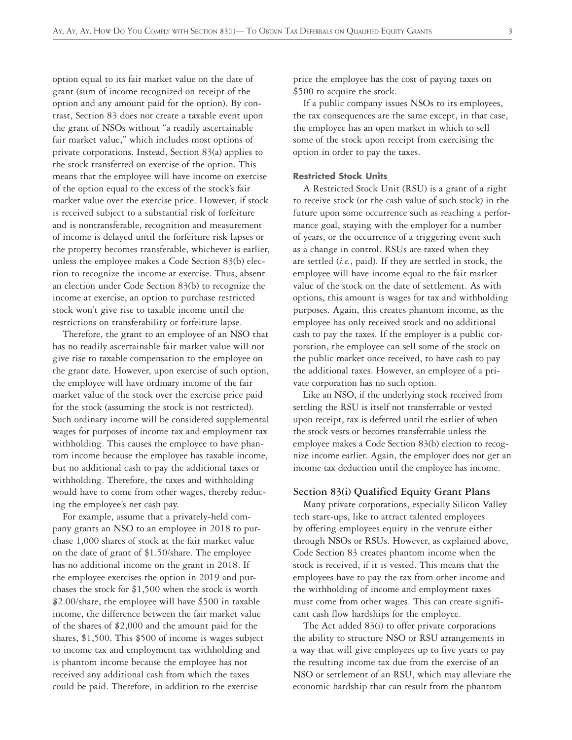option equal to its fair market value on the date of grant (sum of income recognized on receipt of the option and any amount paid for the option). By contrast, Section 83 does not create a taxable event upon the grant of NSOs without "a readily ascertainable fair market value," which includes most options of private corporations. Instead, Section 83(a) applies to the stock transferred on exercise of the option. This means that the employee will have income on exercise of the option equal to the excess of the stock's fair market value over the exercise price. However, if stock is received subject to a substantial risk of forfeiture and is nontransferable, recognition and measurement of income is delayed until the forfeiture risk lapses or the property becomes transferable, whichever is earlier, unless the employee makes a Code Section 83(b) election to recognize the income at exercise. Thus, absent an election under Code Section 83(b) to recognize the income at exercise, an option to purchase restricted stock won't give rise to taxable income until the restrictions on transferability or forfeiture lapse.

Therefore, the grant to an employee of an NSO that has no readily ascertainable fair market value will not give rise to taxable compensation to the employee on the grant date. However, upon exercise of such option, the employee will have ordinary income of the fair market value of the stock over the exercise price paid for the stock (assuming the stock is not restricted). Such ordinary income will be considered supplemental wages for purposes of income tax and employment tax withholding. This causes the employee to have phantom income because the employee has taxable income, but no additional cash to pay the additional taxes or withholding. Therefore, the taxes and withholding would have to come from other wages, thereby reducing the employee's net cash pay.

For example, assume that a privately-held company grants an NSO to an employee in 2018 to purchase 1,000 shares of stock at the fair market value on the date of grant of \$1.50/share. The employee has no additional income on the grant in 2018. If the employee exercises the option in 2019 and purchases the stock for \$1,500 when the stock is worth \$2.00/share, the employee will have \$500 in taxable income, the difference between the fair market value of the shares of \$2,000 and the amount paid for the shares, \$1,500. This \$500 of income is wages subject to income tax and employment tax withholding and is phantom income because the employee has not received any additional cash from which the taxes could be paid. Therefore, in addition to the exercise

price the employee has the cost of paying taxes on \$500 to acquire the stock.

If a public company issues NSOs to its employees, the tax consequences are the same except, in that case, the employee has an open market in which to sell some of the stock upon receipt from exercising the option in order to pay the taxes.

#### **Restricted Stock Units**

A Restricted Stock Unit (RSU) is a grant of a right to receive stock (or the cash value of such stock) in the future upon some occurrence such as reaching a performance goal, staying with the employer for a number of years, or the occurrence of a triggering event such as a change in control. RSUs are taxed when they are settled (*i.e.*, paid). If they are settled in stock, the employee will have income equal to the fair market value of the stock on the date of settlement. As with options, this amount is wages for tax and withholding purposes. Again, this creates phantom income, as the employee has only received stock and no additional cash to pay the taxes. If the employer is a public corporation, the employee can sell some of the stock on the public market once received, to have cash to pay the additional taxes. However, an employee of a private corporation has no such option.

Like an NSO, if the underlying stock received from settling the RSU is itself not transferrable or vested upon receipt, tax is deferred until the earlier of when the stock vests or becomes transferrable unless the employee makes a Code Section 83(b) election to recognize income earlier. Again, the employer does not get an income tax deduction until the employee has income.

#### **Section 83(i) Qualified Equity Grant Plans**

Many private corporations, especially Silicon Valley tech start-ups, like to attract talented employees by offering employees equity in the venture either through NSOs or RSUs. However, as explained above, Code Section 83 creates phantom income when the stock is received, if it is vested. This means that the employees have to pay the tax from other income and the withholding of income and employment taxes must come from other wages. This can create significant cash flow hardships for the employee.

The Act added 83(i) to offer private corporations the ability to structure NSO or RSU arrangements in a way that will give employees up to five years to pay the resulting income tax due from the exercise of an NSO or settlement of an RSU, which may alleviate the economic hardship that can result from the phantom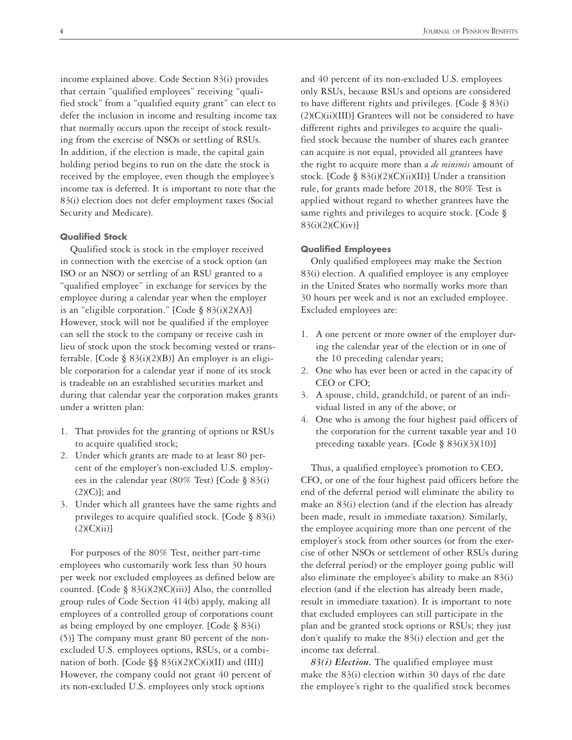income explained above. Code Section 83(i) provides that certain "qualified employees" receiving "qualified stock" from a "qualified equity grant" can elect to defer the inclusion in income and resulting income tax that normally occurs upon the receipt of stock resulting from the exercise of NSOs or settling of RSUs. In addition, if the election is made, the capital gain holding period begins to run on the date the stock is received by the employee, even though the employee's income tax is deferred. It is important to note that the 83(i) election does not defer employment taxes (Social Security and Medicare).

#### **Qualified Stock**

Qualified stock is stock in the employer received in connection with the exercise of a stock option (an ISO or an NSO) or settling of an RSU granted to a "qualified employee" in exchange for services by the employee during a calendar year when the employer is an "eligible corporation." [Code  $\S$  83(i)(2)(A)] However, stock will not be qualified if the employee can sell the stock to the company or receive cash in lieu of stock upon the stock becoming vested or transferrable. [Code § 83(i)(2)(B)] An employer is an eligible corporation for a calendar year if none of its stock is tradeable on an established securities market and during that calendar year the corporation makes grants under a written plan:

- 1. That provides for the granting of options or RSUs to acquire qualified stock;
- 2. Under which grants are made to at least 80 percent of the employer's non-excluded U.S. employees in the calendar year (80% Test) [Code § 83(i) (2)(C)]; and
- 3. Under which all grantees have the same rights and privileges to acquire qualified stock. [Code § 83(i)  $(2)(C)(ii)$

For purposes of the 80% Test, neither part-time employees who customarily work less than 30 hours per week nor excluded employees as defined below are counted. [Code § 83(i)(2)(C)(iii)] Also, the controlled group rules of Code Section 414(b) apply, making all employees of a controlled group of corporations count as being employed by one employer. [Code § 83(i) (5)] The company must grant 80 percent of the nonexcluded U.S. employees options, RSUs, or a combination of both. [Code  $\S$ § 83(i)(2)(C)(i)(II) and (III)] However, the company could not grant 40 percent of its non-excluded U.S. employees only stock options

and 40 percent of its non-excluded U.S. employees only RSUs, because RSUs and options are considered to have different rights and privileges. [Code § 83(i) (2)(C)(ii)(III)] Grantees will not be considered to have different rights and privileges to acquire the qualified stock because the number of shares each grantee can acquire is not equal, provided all grantees have the right to acquire more than a *de minimis* amount of stock. [Code § 83(i)(2)(C)(ii)(II)] Under a transition rule, for grants made before 2018, the 80% Test is applied without regard to whether grantees have the same rights and privileges to acquire stock. [Code § 83(i)(2)(C)(iv)]

#### **Qualified Employees**

Only qualified employees may make the Section 83(i) election. A qualified employee is any employee in the United States who normally works more than 30 hours per week and is not an excluded employee. Excluded employees are:

- 1. A one percent or more owner of the employer during the calendar year of the election or in one of the 10 preceding calendar years;
- 2. One who has ever been or acted in the capacity of CEO or CFO;
- 3. A spouse, child, grandchild, or parent of an individual listed in any of the above; or
- 4. One who is among the four highest paid officers of the corporation for the current taxable year and 10 preceding taxable years. [Code § 83(i)(3)(10)]

Thus, a qualified employee's promotion to CEO, CFO, or one of the four highest paid officers before the end of the deferral period will eliminate the ability to make an 83(i) election (and if the election has already been made, result in immediate taxation). Similarly, the employee acquiring more than one percent of the employer's stock from other sources (or from the exercise of other NSOs or settlement of other RSUs during the deferral period) or the employer going public will also eliminate the employee's ability to make an 83(i) election (and if the election has already been made, result in immediate taxation). It is important to note that excluded employees can still participate in the plan and be granted stock options or RSUs; they just don't qualify to make the 83(i) election and get the income tax deferral.

*83(i) Election.* The qualified employee must make the 83(i) election within 30 days of the date the employee's right to the qualified stock becomes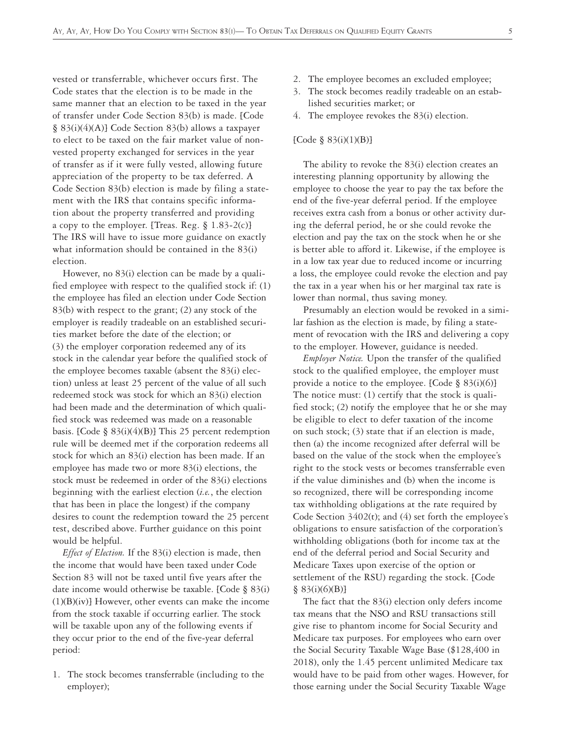vested or transferrable, whichever occurs first. The Code states that the election is to be made in the same manner that an election to be taxed in the year of transfer under Code Section 83(b) is made. [Code § 83(i)(4)(A)] Code Section 83(b) allows a taxpayer to elect to be taxed on the fair market value of nonvested property exchanged for services in the year of transfer as if it were fully vested, allowing future appreciation of the property to be tax deferred. A Code Section 83(b) election is made by filing a statement with the IRS that contains specific information about the property transferred and providing a copy to the employer. [Treas. Reg. § 1.83-2(c)] The IRS will have to issue more guidance on exactly what information should be contained in the 83(i) election.

However, no 83(i) election can be made by a qualified employee with respect to the qualified stock if: (1) the employee has filed an election under Code Section 83(b) with respect to the grant; (2) any stock of the employer is readily tradeable on an established securities market before the date of the election; or (3) the employer corporation redeemed any of its stock in the calendar year before the qualified stock of the employee becomes taxable (absent the 83(i) election) unless at least 25 percent of the value of all such redeemed stock was stock for which an 83(i) election had been made and the determination of which qualified stock was redeemed was made on a reasonable basis. [Code § 83(i)(4)(B)] This 25 percent redemption rule will be deemed met if the corporation redeems all stock for which an 83(i) election has been made. If an employee has made two or more 83(i) elections, the stock must be redeemed in order of the 83(i) elections beginning with the earliest election (*i.e.*, the election that has been in place the longest) if the company desires to count the redemption toward the 25 percent test, described above. Further guidance on this point would be helpful.

*Effect of Election.* If the 83(i) election is made, then the income that would have been taxed under Code Section 83 will not be taxed until five years after the date income would otherwise be taxable. [Code § 83(i) (1)(B)(iv)] However, other events can make the income from the stock taxable if occurring earlier. The stock will be taxable upon any of the following events if they occur prior to the end of the five-year deferral period:

1. The stock becomes transferrable (including to the employer);

- 2. The employee becomes an excluded employee;
- 3. The stock becomes readily tradeable on an established securities market; or
- 4. The employee revokes the 83(i) election.

#### [Code § 83(i)(1)(B)]

The ability to revoke the 83(i) election creates an interesting planning opportunity by allowing the employee to choose the year to pay the tax before the end of the five-year deferral period. If the employee receives extra cash from a bonus or other activity during the deferral period, he or she could revoke the election and pay the tax on the stock when he or she is better able to afford it. Likewise, if the employee is in a low tax year due to reduced income or incurring a loss, the employee could revoke the election and pay the tax in a year when his or her marginal tax rate is lower than normal, thus saving money.

Presumably an election would be revoked in a similar fashion as the election is made, by filing a statement of revocation with the IRS and delivering a copy to the employer. However, guidance is needed.

*Employer Notice.* Upon the transfer of the qualified stock to the qualified employee, the employer must provide a notice to the employee. [Code § 83(i)(6)] The notice must: (1) certify that the stock is qualified stock; (2) notify the employee that he or she may be eligible to elect to defer taxation of the income on such stock; (3) state that if an election is made, then (a) the income recognized after deferral will be based on the value of the stock when the employee's right to the stock vests or becomes transferrable even if the value diminishes and (b) when the income is so recognized, there will be corresponding income tax withholding obligations at the rate required by Code Section  $3402(t)$ ; and  $(4)$  set forth the employee's obligations to ensure satisfaction of the corporation's withholding obligations (both for income tax at the end of the deferral period and Social Security and Medicare Taxes upon exercise of the option or settlement of the RSU) regarding the stock. [Code  $§ 83(i)(6)(B)$ 

The fact that the 83(i) election only defers income tax means that the NSO and RSU transactions still give rise to phantom income for Social Security and Medicare tax purposes. For employees who earn over the Social Security Taxable Wage Base (\$128,400 in 2018), only the 1.45 percent unlimited Medicare tax would have to be paid from other wages. However, for those earning under the Social Security Taxable Wage